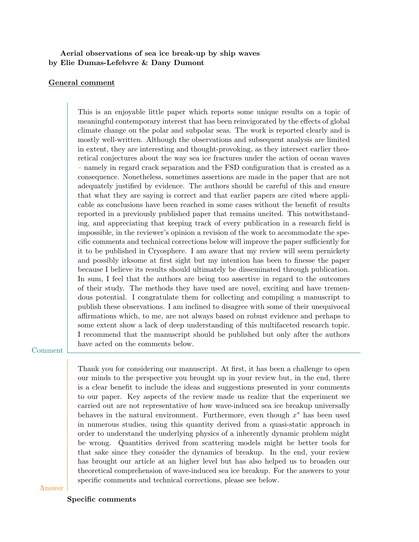# Aerial observations of sea ice break-up by ship waves by Elie Dumas-Lefebvre & Dany Dumont

## General comment

This is an enjoyable little paper which reports some unique results on a topic of meaningful contemporary interest that has been reinvigorated by the effects of global climate change on the polar and subpolar seas. The work is reported clearly and is mostly well-written. Although the observations and subsequent analysis are limited in extent, they are interesting and thought-provoking, as they intersect earlier theoretical conjectures about the way sea ice fractures under the action of ocean waves – namely in regard crack separation and the FSD configuration that is created as a consequence. Nonetheless, sometimes assertions are made in the paper that are not adequately justified by evidence. The authors should be careful of this and ensure that what they are saying is correct and that earlier papers are cited where applicable as conclusions have been reached in some cases without the benefit of results reported in a previously published paper that remains uncited. This notwithstanding, and appreciating that keeping track of every publication in a research field is impossible, in the reviewer's opinion a revision of the work to accommodate the specific comments and technical corrections below will improve the paper sufficiently for it to be published in Cryosphere. I am aware that my review will seem pernickety and possibly irksome at first sight but my intention has been to finesse the paper because I believe its results should ultimately be disseminated through publication. In sum, I feel that the authors are being too assertive in regard to the outcomes of their study. The methods they have used are novel, exciting and have tremendous potential. I congratulate them for collecting and compiling a manuscript to publish these observations. I am inclined to disagree with some of their unequivocal affirmations which, to me, are not always based on robust evidence and perhaps to some extent show a lack of deep understanding of this multifaceted research topic. I recommend that the manuscript should be published but only after the authors have acted on the comments below.

### Comment

Thank you for considering our manuscript. At first, it has been a challenge to open our minds to the perspective you brought up in your review but, in the end, there is a clear benefit to include the ideas and suggestions presented in your comments to our paper. Key aspects of the review made us realize that the experiment we carried out are not representative of how wave-induced sea ice breakup universally behaves in the natural environment. Furthermore, even though  $x^*$  has been used in numerous studies, using this quantity derived from a quasi-static approach in order to understand the underlying physics of a inherently dynamic problem might be wrong. Quantities derived from scattering models might be better tools for that sake since they consider the dynamics of breakup. In the end, your review has brought our article at an higher level but has also helped us to broaden our theoretical comprehension of wave-induced sea ice breakup. For the answers to your specific comments and technical corrections, please see below.

Answer

#### Specific comments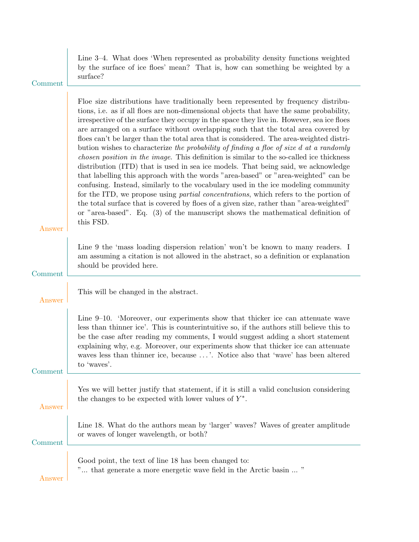| Comment | Line 3–4. What does 'When represented as probability density functions weighted<br>by the surface of ice floes' mean? That is, how can something be weighted by a<br>surface?                                                                                                                                                                                                                                                                                                                                                                                                                                                                                                                                                                                                                                                                                                                                                                                                                                                                                                                                                                                                                                          |
|---------|------------------------------------------------------------------------------------------------------------------------------------------------------------------------------------------------------------------------------------------------------------------------------------------------------------------------------------------------------------------------------------------------------------------------------------------------------------------------------------------------------------------------------------------------------------------------------------------------------------------------------------------------------------------------------------------------------------------------------------------------------------------------------------------------------------------------------------------------------------------------------------------------------------------------------------------------------------------------------------------------------------------------------------------------------------------------------------------------------------------------------------------------------------------------------------------------------------------------|
| Answer  | Floe size distributions have traditionally been represented by frequency distribu-<br>tions, i.e. as if all floes are non-dimensional objects that have the same probability,<br>irrespective of the surface they occupy in the space they live in. However, sea ice floes<br>are arranged on a surface without overlapping such that the total area covered by<br>floes can't be larger than the total area that is considered. The area-weighted distri-<br>bution wishes to characterize the probability of finding a floe of size d at a randomly<br><i>chosen position in the image.</i> This definition is similar to the so-called ice thickness<br>distribution (ITD) that is used in sea ice models. That being said, we acknowledge<br>that labelling this approach with the words "area-based" or "area-weighted" can be<br>confusing. Instead, similarly to the vocabulary used in the ice modeling community<br>for the ITD, we propose using <i>partial concentrations</i> , which refers to the portion of<br>the total surface that is covered by floes of a given size, rather than "area-weighted"<br>or "area-based". Eq. $(3)$ of the manuscript shows the mathematical definition of<br>this FSD. |
| Comment | Line 9 the 'mass loading dispersion relation' won't be known to many readers. I<br>am assuming a citation is not allowed in the abstract, so a definition or explanation<br>should be provided here.                                                                                                                                                                                                                                                                                                                                                                                                                                                                                                                                                                                                                                                                                                                                                                                                                                                                                                                                                                                                                   |
| Answer  | This will be changed in the abstract.                                                                                                                                                                                                                                                                                                                                                                                                                                                                                                                                                                                                                                                                                                                                                                                                                                                                                                                                                                                                                                                                                                                                                                                  |
| Comment | Line 9–10. 'Moreover, our experiments show that thicker ice can attenuate wave<br>less than thinner ice'. This is counterintuitive so, if the authors still believe this to<br>be the case after reading my comments, I would suggest adding a short statement<br>explaining why, e.g. Moreover, our experiments show that thicker ice can attenuate<br>waves less than thinner ice, because '. Notice also that 'wave' has been altered<br>to 'waves'.                                                                                                                                                                                                                                                                                                                                                                                                                                                                                                                                                                                                                                                                                                                                                                |
| Answer  | Yes we will better justify that statement, if it is still a valid conclusion considering<br>the changes to be expected with lower values of $Y^*$ .                                                                                                                                                                                                                                                                                                                                                                                                                                                                                                                                                                                                                                                                                                                                                                                                                                                                                                                                                                                                                                                                    |
| Comment | Line 18. What do the authors mean by 'larger' waves? Waves of greater amplitude<br>or waves of longer wavelength, or both?                                                                                                                                                                                                                                                                                                                                                                                                                                                                                                                                                                                                                                                                                                                                                                                                                                                                                                                                                                                                                                                                                             |
| Answer  | Good point, the text of line 18 has been changed to:<br>" that generate a more energetic wave field in the Arctic basin  "                                                                                                                                                                                                                                                                                                                                                                                                                                                                                                                                                                                                                                                                                                                                                                                                                                                                                                                                                                                                                                                                                             |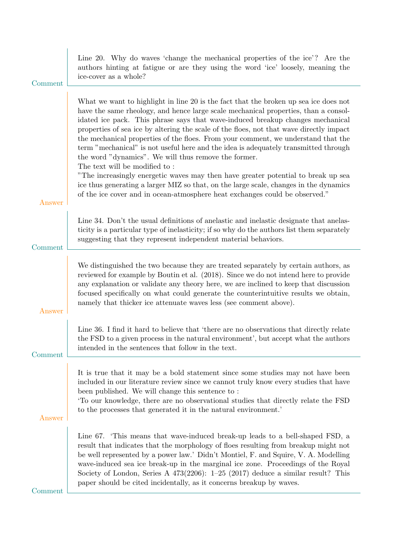| Comment | Line 20. Why do waves 'change the mechanical properties of the ice'? Are the<br>authors hinting at fatigue or are they using the word 'ice' loosely, meaning the<br>ice-cover as a whole?                                                                                                                                                                                                                                                                                                                                                                                                                                                                                                                                                                                                                   |
|---------|-------------------------------------------------------------------------------------------------------------------------------------------------------------------------------------------------------------------------------------------------------------------------------------------------------------------------------------------------------------------------------------------------------------------------------------------------------------------------------------------------------------------------------------------------------------------------------------------------------------------------------------------------------------------------------------------------------------------------------------------------------------------------------------------------------------|
|         | What we want to highlight in line 20 is the fact that the broken up sea ice does not<br>have the same rheology, and hence large scale mechanical properties, than a consol-<br>idated ice pack. This phrase says that wave-induced breakup changes mechanical<br>properties of sea ice by altering the scale of the floes, not that wave directly impact<br>the mechanical properties of the floes. From your comment, we understand that the<br>term "mechanical" is not useful here and the idea is adequately transmitted through<br>the word "dynamics". We will thus remove the former.<br>The text will be modified to:<br>"The increasingly energetic waves may then have greater potential to break up sea<br>ice thus generating a larger MIZ so that, on the large scale, changes in the dynamics |
| Answer  | of the ice cover and in ocean-atmosphere heat exchanges could be observed."                                                                                                                                                                                                                                                                                                                                                                                                                                                                                                                                                                                                                                                                                                                                 |
| Comment | Line 34. Don't the usual definitions of anelastic and inelastic designate that anelas-<br>ticity is a particular type of inelasticity; if so why do the authors list them separately<br>suggesting that they represent independent material behaviors.                                                                                                                                                                                                                                                                                                                                                                                                                                                                                                                                                      |
| Answer  | We distinguished the two because they are treated separately by certain authors, as<br>reviewed for example by Boutin et al. (2018). Since we do not intend here to provide<br>any explanation or validate any theory here, we are inclined to keep that discussion<br>focused specifically on what could generate the counterintuitive results we obtain,<br>namely that thicker ice attenuate waves less (see comment above).                                                                                                                                                                                                                                                                                                                                                                             |
| Comment | Line 36. I find it hard to believe that 'there are no observations that directly relate<br>the FSD to a given process in the natural environment', but accept what the authors<br>intended in the sentences that follow in the text.                                                                                                                                                                                                                                                                                                                                                                                                                                                                                                                                                                        |
| Answer  | It is true that it may be a bold statement since some studies may not have been<br>included in our literature review since we cannot truly know every studies that have<br>been published. We will change this sentence to:<br>To our knowledge, there are no observational studies that directly relate the FSD<br>to the processes that generated it in the natural environment.'                                                                                                                                                                                                                                                                                                                                                                                                                         |
| Comment | Line 67. This means that wave-induced break-up leads to a bell-shaped FSD, a<br>result that indicates that the morphology of floes resulting from breakup might not<br>be well represented by a power law.' Didn't Montiel, F. and Squire, V. A. Modelling<br>wave-induced sea ice break-up in the marginal ice zone. Proceedings of the Royal<br>Society of London, Series A $473(2206)$ : 1-25 (2017) deduce a similar result? This<br>paper should be cited incidentally, as it concerns breakup by waves.                                                                                                                                                                                                                                                                                               |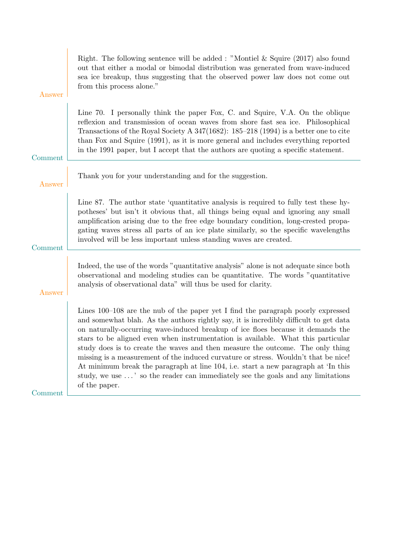| Right. The following sentence will be added: "Montiel & Squire $(2017)$ also found<br>out that either a modal or bimodal distribution was generated from wave-induced<br>sea ice breakup, thus suggesting that the observed power law does not come out<br>from this process alone."                                                                                                                                                                                                                                                                                                                                                                                                                                |
|---------------------------------------------------------------------------------------------------------------------------------------------------------------------------------------------------------------------------------------------------------------------------------------------------------------------------------------------------------------------------------------------------------------------------------------------------------------------------------------------------------------------------------------------------------------------------------------------------------------------------------------------------------------------------------------------------------------------|
| Line 70. I personally think the paper Fox, C. and Squire, V.A. On the oblique<br>reflexion and transmission of ocean waves from shore fast sea ice. Philosophical<br>Transactions of the Royal Society A $347(1682)$ : 185-218 (1994) is a better one to cite<br>than Fox and Squire (1991), as it is more general and includes everything reported<br>in the 1991 paper, but I accept that the authors are quoting a specific statement.                                                                                                                                                                                                                                                                           |
| Thank you for your understanding and for the suggestion.                                                                                                                                                                                                                                                                                                                                                                                                                                                                                                                                                                                                                                                            |
| Line 87. The author state 'quantitative analysis is required to fully test these hy-<br>potheses' but isn't it obvious that, all things being equal and ignoring any small<br>amplification arising due to the free edge boundary condition, long-crested propa-<br>gating waves stress all parts of an ice plate similarly, so the specific wavelengths<br>involved will be less important unless standing waves are created.                                                                                                                                                                                                                                                                                      |
| Indeed, the use of the words "quantitative analysis" alone is not adequate since both<br>observational and modeling studies can be quantitative. The words "quantitative"<br>analysis of observational data" will thus be used for clarity.                                                                                                                                                                                                                                                                                                                                                                                                                                                                         |
| Lines 100–108 are the nub of the paper yet I find the paragraph poorly expressed<br>and somewhat blah. As the authors rightly say, it is incredibly difficult to get data<br>on naturally-occurring wave-induced breakup of ice floes because it demands the<br>stars to be aligned even when instrumentation is available. What this particular<br>study does is to create the waves and then measure the outcome. The only thing<br>missing is a measurement of the induced curvature or stress. Wouldn't that be nice!<br>At minimum break the paragraph at line 104, i.e. start a new paragraph at 'In this<br>study, we use ' so the reader can immediately see the goals and any limitations<br>of the paper. |
|                                                                                                                                                                                                                                                                                                                                                                                                                                                                                                                                                                                                                                                                                                                     |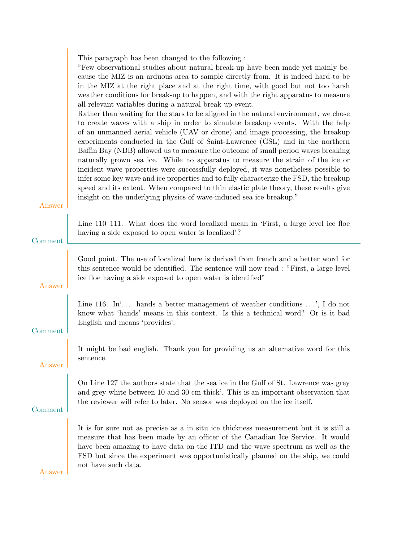| This paragraph has been changed to the following : |  |  |  |
|----------------------------------------------------|--|--|--|
|                                                    |  |  |  |

"Few observational studies about natural break-up have been made yet mainly because the MIZ is an arduous area to sample directly from. It is indeed hard to be in the MIZ at the right place and at the right time, with good but not too harsh weather conditions for break-up to happen, and with the right apparatus to measure all relevant variables during a natural break-up event.

Rather than waiting for the stars to be aligned in the natural environment, we chose to create waves with a ship in order to simulate breakup events. With the help of an unmanned aerial vehicle (UAV or drone) and image processing, the breakup experiments conducted in the Gulf of Saint-Lawrence (GSL) and in the northern Baffin Bay (NBB) allowed us to measure the outcome of small period waves breaking naturally grown sea ice. While no apparatus to measure the strain of the ice or incident wave properties were successfully deployed, it was nonetheless possible to infer some key wave and ice properties and to fully characterize the FSD, the breakup speed and its extent. When compared to thin elastic plate theory, these results give insight on the underlying physics of wave-induced sea ice breakup."

| Comment                  | Line 110–111. What does the word localized mean in 'First, a large level ice floe<br>having a side exposed to open water is localized?                                                                                                                                                                                                                                |
|--------------------------|-----------------------------------------------------------------------------------------------------------------------------------------------------------------------------------------------------------------------------------------------------------------------------------------------------------------------------------------------------------------------|
| Answer                   | Good point. The use of localized here is derived from french and a better word for<br>this sentence would be identified. The sentence will now read: "First, a large level<br>ice floe having a side exposed to open water is identified"                                                                                                                             |
| $\operatorname{Comment}$ | Line 116. In $\ldots$ hands a better management of weather conditions $\ldots$ , I do not<br>know what 'hands' means in this context. Is this a technical word? Or is it bad<br>English and means 'provides'.                                                                                                                                                         |
| Answer                   | It might be bad english. Thank you for providing us an alternative word for this<br>sentence.                                                                                                                                                                                                                                                                         |
| Comment                  | On Line 127 the authors state that the sea ice in the Gulf of St. Lawrence was grey<br>and grey-white between 10 and 30 cm-thick'. This is an important observation that<br>the reviewer will refer to later. No sensor was deployed on the ice itself.                                                                                                               |
| $\rm{Answer}$            | It is for sure not as precise as a in situ ice thickness measurement but it is still a<br>measure that has been made by an officer of the Canadian Ice Service. It would<br>have been amazing to have data on the ITD and the wave spectrum as well as the<br>FSD but since the experiment was opportunistically planned on the ship, we could<br>not have such data. |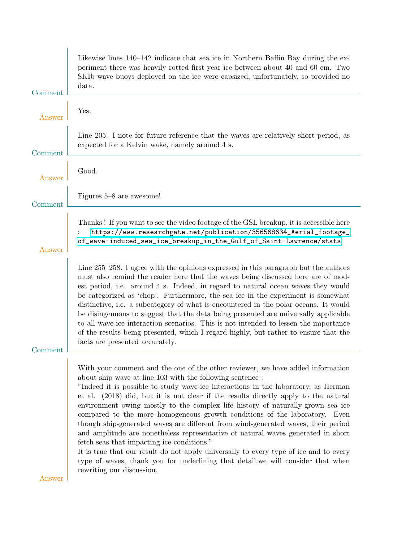| Comment | Likewise lines 140–142 indicate that sea ice in Northern Baffin Bay during the ex-<br>periment there was heavily rotted first year ice between about 40 and 60 cm. Two<br>SKIb wave buoys deployed on the ice were capsized, unfortunately, so provided no<br>data.                                                                                                                                                                                                                                                                                                                                                                                                                                                                                                                                                                                                                                                       |
|---------|---------------------------------------------------------------------------------------------------------------------------------------------------------------------------------------------------------------------------------------------------------------------------------------------------------------------------------------------------------------------------------------------------------------------------------------------------------------------------------------------------------------------------------------------------------------------------------------------------------------------------------------------------------------------------------------------------------------------------------------------------------------------------------------------------------------------------------------------------------------------------------------------------------------------------|
| Answer  | Yes.                                                                                                                                                                                                                                                                                                                                                                                                                                                                                                                                                                                                                                                                                                                                                                                                                                                                                                                      |
| Comment | Line 205. I note for future reference that the waves are relatively short period, as<br>expected for a Kelvin wake, namely around 4 s.                                                                                                                                                                                                                                                                                                                                                                                                                                                                                                                                                                                                                                                                                                                                                                                    |
| Answer  | Good.                                                                                                                                                                                                                                                                                                                                                                                                                                                                                                                                                                                                                                                                                                                                                                                                                                                                                                                     |
| Comment | Figures 5–8 are awesome!                                                                                                                                                                                                                                                                                                                                                                                                                                                                                                                                                                                                                                                                                                                                                                                                                                                                                                  |
| Answer  | Thanks! If you want to see the video footage of the GSL breakup, it is accessible here<br>https://www.researchgate.net/publication/356568634_Aerial_footage_<br>of_wave-induced_sea_ice_breakup_in_the_Gulf_of_Saint-Lawrence/stats                                                                                                                                                                                                                                                                                                                                                                                                                                                                                                                                                                                                                                                                                       |
| Comment | Line 255-258. I agree with the opinions expressed in this paragraph but the authors<br>must also remind the reader here that the waves being discussed here are of mod-<br>est period, i.e. around 4 s. Indeed, in regard to natural ocean waves they would<br>be categorized as 'chop'. Furthermore, the sea ice in the experiment is somewhat<br>distinctive, i.e. a subcategory of what is encountered in the polar oceans. It would<br>be disingenuous to suggest that the data being presented are universally applicable<br>to all wave-ice interaction scenarios. This is not intended to lessen the importance<br>of the results being presented, which I regard highly, but rather to ensure that the<br>facts are presented accurately.                                                                                                                                                                         |
| Answer  | With your comment and the one of the other reviewer, we have added information<br>about ship wave at line 103 with the following sentence:<br>"Indeed it is possible to study wave-ice interactions in the laboratory, as Herman<br>et al. (2018) did, but it is not clear if the results directly apply to the natural<br>environment owing mostly to the complex life history of naturally-grown sea ice<br>compared to the more homogeneous growth conditions of the laboratory. Even<br>though ship-generated waves are different from wind-generated waves, their period<br>and amplitude are nonetheless representative of natural waves generated in short<br>fetch seas that impacting ice conditions."<br>It is true that our result do not apply universally to every type of ice and to every<br>type of waves, thank you for underlining that detail. We will consider that when<br>rewriting our discussion. |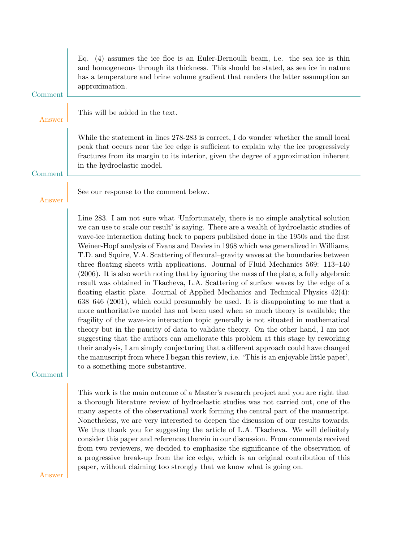|         | Eq. $(4)$ assumes the ice floe is an Euler-Bernoulli beam, i.e. the sea ice is thin<br>and homogeneous through its thickness. This should be stated, as sea ice in nature<br>has a temperature and brine volume gradient that renders the latter assumption and<br>approximation.                                                                                                                                                                                                                                                                                                                                                                                                                                                                                                                                                                                                                                                                                                                                                                                                                                                                                                                                                                                                                                                                                                                                                                                                          |
|---------|--------------------------------------------------------------------------------------------------------------------------------------------------------------------------------------------------------------------------------------------------------------------------------------------------------------------------------------------------------------------------------------------------------------------------------------------------------------------------------------------------------------------------------------------------------------------------------------------------------------------------------------------------------------------------------------------------------------------------------------------------------------------------------------------------------------------------------------------------------------------------------------------------------------------------------------------------------------------------------------------------------------------------------------------------------------------------------------------------------------------------------------------------------------------------------------------------------------------------------------------------------------------------------------------------------------------------------------------------------------------------------------------------------------------------------------------------------------------------------------------|
| Comment |                                                                                                                                                                                                                                                                                                                                                                                                                                                                                                                                                                                                                                                                                                                                                                                                                                                                                                                                                                                                                                                                                                                                                                                                                                                                                                                                                                                                                                                                                            |
| Answer  | This will be added in the text.                                                                                                                                                                                                                                                                                                                                                                                                                                                                                                                                                                                                                                                                                                                                                                                                                                                                                                                                                                                                                                                                                                                                                                                                                                                                                                                                                                                                                                                            |
| Comment | While the statement in lines 278-283 is correct, I do wonder whether the small local<br>peak that occurs near the ice edge is sufficient to explain why the ice progressively<br>fractures from its margin to its interior, given the degree of approximation inherent<br>in the hydroelastic model.                                                                                                                                                                                                                                                                                                                                                                                                                                                                                                                                                                                                                                                                                                                                                                                                                                                                                                                                                                                                                                                                                                                                                                                       |
| Answer  | See our response to the comment below.                                                                                                                                                                                                                                                                                                                                                                                                                                                                                                                                                                                                                                                                                                                                                                                                                                                                                                                                                                                                                                                                                                                                                                                                                                                                                                                                                                                                                                                     |
| Comment | Line 283. I am not sure what 'Unfortunately, there is no simple analytical solution<br>we can use to scale our result' is saying. There are a wealth of hydroelastic studies of<br>wave-ice interaction dating back to papers published done in the 1950s and the first<br>Weiner-Hopf analysis of Evans and Davies in 1968 which was generalized in Williams,<br>T.D. and Squire, V.A. Scattering of flexural–gravity waves at the boundaries between<br>three floating sheets with applications. Journal of Fluid Mechanics 569: 113-140<br>(2006). It is also worth noting that by ignoring the mass of the plate, a fully algebraic<br>result was obtained in Tkacheva, L.A. Scattering of surface waves by the edge of a<br>floating elastic plate. Journal of Applied Mechanics and Technical Physics $42(4)$ :<br>638–646 (2001), which could presumably be used. It is disappointing to me that a<br>more authoritative model has not been used when so much theory is available; the<br>fragility of the wave-ice interaction topic generally is not situated in mathematical<br>theory but in the paucity of data to validate theory. On the other hand, I am not<br>suggesting that the authors can ameliorate this problem at this stage by reworking<br>their analysis, I am simply conjecturing that a different approach could have changed<br>the manuscript from where I began this review, i.e. 'This is an enjoyable little paper',<br>to a something more substantive. |
| Answer  | This work is the main outcome of a Master's research project and you are right that<br>a thorough literature review of hydroelastic studies was not carried out, one of the<br>many aspects of the observational work forming the central part of the manuscript.<br>Nonetheless, we are very interested to deepen the discussion of our results towards.<br>We thus thank you for suggesting the article of L.A. Tkacheva. We will definitely<br>consider this paper and references therein in our discussion. From comments received<br>from two reviewers, we decided to emphasize the significance of the observation of<br>a progressive break-up from the ice edge, which is an original contribution of this<br>paper, without claiming too strongly that we know what is going on.                                                                                                                                                                                                                                                                                                                                                                                                                                                                                                                                                                                                                                                                                                 |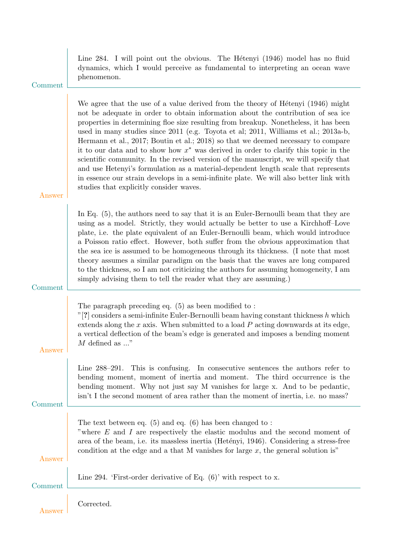| Comment | Line 284. I will point out the obvious. The Hétenyi (1946) model has no fluid<br>dynamics, which I would perceive as fundamental to interpreting an ocean wave<br>phenomenon.                                                                                                                                                                                                                                                                                                                                                                                                                                                                                                                                                                                                                                                                         |
|---------|-------------------------------------------------------------------------------------------------------------------------------------------------------------------------------------------------------------------------------------------------------------------------------------------------------------------------------------------------------------------------------------------------------------------------------------------------------------------------------------------------------------------------------------------------------------------------------------------------------------------------------------------------------------------------------------------------------------------------------------------------------------------------------------------------------------------------------------------------------|
| Answer  | We agree that the use of a value derived from the theory of Hétenyi (1946) might<br>not be adequate in order to obtain information about the contribution of sea ice<br>properties in determining floe size resulting from breakup. Nonetheless, it has been<br>used in many studies since 2011 (e.g. Toyota et al; 2011, Williams et al.; 2013a-b,<br>Hermann et al., 2017; Boutin et al.; 2018) so that we deemed necessary to compare<br>it to our data and to show how $x^*$ was derived in order to clarify this topic in the<br>scientific community. In the revised version of the manuscript, we will specify that<br>and use Hetenyi's formulation as a material-dependent length scale that represents<br>in essence our strain develops in a semi-infinite plate. We will also better link with<br>studies that explicitly consider waves. |
| Comment | In Eq. $(5)$ , the authors need to say that it is an Euler-Bernoulli beam that they are<br>using as a model. Strictly, they would actually be better to use a Kirchhoff-Love<br>plate, i.e. the plate equivalent of an Euler-Bernoulli beam, which would introduce<br>a Poisson ratio effect. However, both suffer from the obvious approximation that<br>the sea ice is assumed to be homogeneous through its thickness. (I note that most<br>theory assumes a similar paradigm on the basis that the waves are long compared<br>to the thickness, so I am not criticizing the authors for assuming homogeneity, I am<br>simply advising them to tell the reader what they are assuming.)                                                                                                                                                            |
| Answer  | The paragraph preceding eq. $(5)$ as been modified to:<br>"[?] considers a semi-infinite Euler-Bernoulli beam having constant thickness $h$ which<br>extends along the $x$ axis. When submitted to a load $P$ acting downwards at its edge,<br>a vertical deflection of the beam's edge is generated and imposes a bending moment<br>$M$ defined as "                                                                                                                                                                                                                                                                                                                                                                                                                                                                                                 |
| Comment | This is confusing. In consecutive sentences the authors refer to<br>Line $288 - 291$ .<br>bending moment, moment of inertia and moment.<br>The third occurrence is the<br>bending moment. Why not just say M vanishes for large x. And to be pedantic,<br>isn't I the second moment of area rather than the moment of inertia, i.e. no mass?                                                                                                                                                                                                                                                                                                                                                                                                                                                                                                          |
| Answer  | The text between eq. $(5)$ and eq. $(6)$ has been changed to:<br>"where $E$ and $I$ are respectively the elastic modulus and the second moment of<br>area of the beam, i.e. its massless inertia (Hetényi, 1946). Considering a stress-free<br>condition at the edge and a that M vanishes for large $x$ , the general solution is"                                                                                                                                                                                                                                                                                                                                                                                                                                                                                                                   |
| Comment | Line 294. 'First-order derivative of Eq. $(6)$ ' with respect to x.                                                                                                                                                                                                                                                                                                                                                                                                                                                                                                                                                                                                                                                                                                                                                                                   |
|         | Corrected.                                                                                                                                                                                                                                                                                                                                                                                                                                                                                                                                                                                                                                                                                                                                                                                                                                            |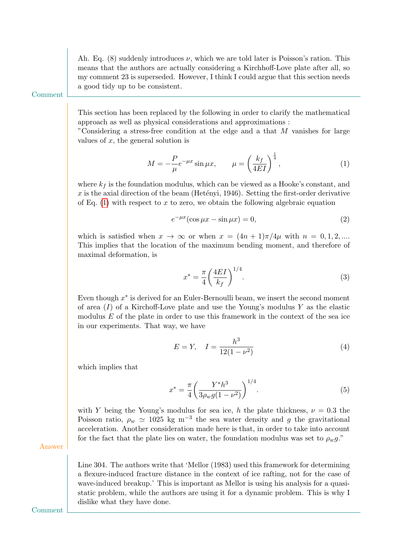Ah. Eq. (8) suddenly introduces  $\nu$ , which we are told later is Poisson's ration. This means that the authors are actually considering a Kirchhoff-Love plate after all, so my comment 23 is superseded. However, I think I could argue that this section needs a good tidy up to be consistent.

Comment

This section has been replaced by the following in order to clarify the mathematical approach as well as physical considerations and approximations :

"Considering a stress-free condition at the edge and a that M vanishes for large values of  $x$ , the general solution is

$$
M = -\frac{P}{\mu}e^{-\mu x}\sin \mu x, \qquad \mu = \left(\frac{k_f}{4EI}\right)^{\frac{1}{4}},\tag{1}
$$

where  $k_f$  is the foundation modulus, which can be viewed as a Hooke's constant, and x is the axial direction of the beam (Hetényi, 1946). Setting the first-order derivative of Eq.  $(1)$  with respect to x to zero, we obtain the following algebraic equation

<span id="page-8-0"></span>
$$
e^{-\mu x}(\cos \mu x - \sin \mu x) = 0,\tag{2}
$$

which is satisfied when  $x \to \infty$  or when  $x = (4n+1)\pi/4\mu$  with  $n = 0, 1, 2, ...$ This implies that the location of the maximum bending moment, and therefore of maximal deformation, is

$$
x^* = \frac{\pi}{4} \left(\frac{4EI}{k_f}\right)^{1/4}.\tag{3}
$$

Even though  $x^*$  is derived for an Euler-Bernoulli beam, we insert the second moment of area  $(I)$  of a Kirchoff-Love plate and use the Young's modulus Y as the elastic modulus E of the plate in order to use this framework in the context of the sea ice in our experiments. That way, we have

$$
E = Y, \quad I = \frac{h^3}{12(1 - \nu^2)}\tag{4}
$$

which implies that

$$
x^* = \frac{\pi}{4} \left( \frac{Y^* h^3}{3\rho_w g (1 - \nu^2)} \right)^{1/4}.
$$
 (5)

with Y being the Young's modulus for sea ice, h the plate thickness,  $\nu = 0.3$  the Poisson ratio,  $\rho_w \simeq 1025 \text{ kg m}^{-3}$  the sea water density and g the gravitational acceleration. Another consideration made here is that, in order to take into account for the fact that the plate lies on water, the foundation modulus was set to  $\rho_w q$ ."

Answer

Line 304. The authors write that 'Mellor (1983) used this framework for determining a flexure-induced fracture distance in the context of ice rafting, not for the case of wave-induced breakup.' This is important as Mellor is using his analysis for a quasistatic problem, while the authors are using it for a dynamic problem. This is why I dislike what they have done.

Comment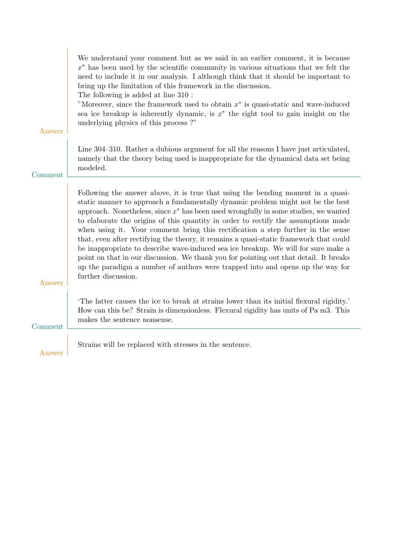| Answer  | We understand your comment but as we said in an earlier comment, it is because<br>$x^*$ has been used by the scientific community in various situations that we felt the<br>need to include it in our analysis. I although think that it should be important to<br>bring up the limitation of this framework in the discussion.<br>The following is added at line 310 :<br>"Moreover, since the framework used to obtain $x^*$ is quasi-static and wave-induced<br>sea ice breakup is inherently dynamic, is $x^*$ the right tool to gain insight on the<br>underlying physics of this process?"                                                                                                                                                                                                                          |
|---------|---------------------------------------------------------------------------------------------------------------------------------------------------------------------------------------------------------------------------------------------------------------------------------------------------------------------------------------------------------------------------------------------------------------------------------------------------------------------------------------------------------------------------------------------------------------------------------------------------------------------------------------------------------------------------------------------------------------------------------------------------------------------------------------------------------------------------|
| Comment | Line 304–310. Rather a dubious argument for all the reasons I have just articulated,<br>namely that the theory being used is inappropriate for the dynamical data set being<br>modeled.                                                                                                                                                                                                                                                                                                                                                                                                                                                                                                                                                                                                                                   |
| Answer  | Following the answer above, it is true that using the bending moment in a quasi-<br>static manner to approach a fundamentally dynamic problem might not be the best<br>approach. Nonetheless, since $x^*$ has been used wrongfully in some studies, we wanted<br>to elaborate the origins of this quantity in order to rectify the assumptions made<br>when using it. Your comment bring this rectification a step further in the sense<br>that, even after rectifying the theory, it remains a quasi-static framework that could<br>be inappropriate to describe wave-induced sea ice breakup. We will for sure make a<br>point on that in our discussion. We thank you for pointing out that detail. It breaks<br>up the paradigm a number of authors were trapped into and opens up the way for<br>further discussion. |
| Comment | The latter causes the ice to break at strains lower than its initial flexural rigidity.<br>How can this be? Strain is dimensionless. Flexural rigidity has units of Pa m3. This<br>makes the sentence nonsense.                                                                                                                                                                                                                                                                                                                                                                                                                                                                                                                                                                                                           |
| Answer  | Strains will be replaced with stresses in the sentence.                                                                                                                                                                                                                                                                                                                                                                                                                                                                                                                                                                                                                                                                                                                                                                   |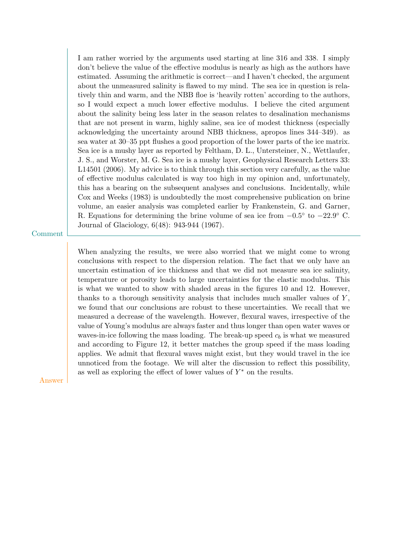I am rather worried by the arguments used starting at line 316 and 338. I simply don't believe the value of the effective modulus is nearly as high as the authors have estimated. Assuming the arithmetic is correct—and I haven't checked, the argument about the unmeasured salinity is flawed to my mind. The sea ice in question is relatively thin and warm, and the NBB floe is 'heavily rotten' according to the authors, so I would expect a much lower effective modulus. I believe the cited argument about the salinity being less later in the season relates to desalination mechanisms that are not present in warm, highly saline, sea ice of modest thickness (especially acknowledging the uncertainty around NBB thickness, apropos lines 344–349). as sea water at 30–35 ppt flushes a good proportion of the lower parts of the ice matrix. Sea ice is a mushy layer as reported by Feltham, D. L., Untersteiner, N., Wettlaufer, J. S., and Worster, M. G. Sea ice is a mushy layer, Geophysical Research Letters 33: L14501 (2006). My advice is to think through this section very carefully, as the value of effective modulus calculated is way too high in my opinion and, unfortunately, this has a bearing on the subsequent analyses and conclusions. Incidentally, while Cox and Weeks (1983) is undoubtedly the most comprehensive publication on brine volume, an easier analysis was completed earlier by Frankenstein, G. and Garner, R. Equations for determining the brine volume of sea ice from  $-0.5^{\circ}$  to  $-22.9^{\circ}$  C. Journal of Glaciology, 6(48): 943-944 (1967).

Comment

When analyzing the results, we were also worried that we might come to wrong conclusions with respect to the dispersion relation. The fact that we only have an uncertain estimation of ice thickness and that we did not measure sea ice salinity, temperature or porosity leads to large uncertainties for the elastic modulus. This is what we wanted to show with shaded areas in the figures 10 and 12. However, thanks to a thorough sensitivity analysis that includes much smaller values of  $Y$ , we found that our conclusions are robust to these uncertainties. We recall that we measured a decrease of the wavelength. However, flexural waves, irrespective of the value of Young's modulus are always faster and thus longer than open water waves or waves-in-ice following the mass loading. The break-up speed  $c<sub>b</sub>$  is what we measured and according to Figure 12, it better matches the group speed if the mass loading applies. We admit that flexural waves might exist, but they would travel in the ice unnoticed from the footage. We will alter the discussion to reflect this possibility, as well as exploring the effect of lower values of  $Y^*$  on the results.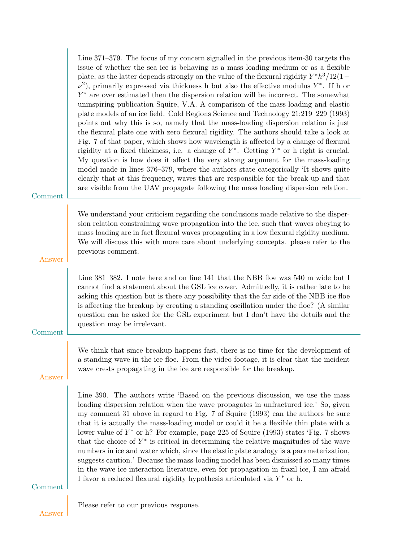| Comment | Line $371-379$ . The focus of my concern signalled in the previous item-30 targets the<br>issue of whether the sea ice is behaving as a mass loading medium or as a flexible<br>plate, as the latter depends strongly on the value of the flexural rigidity $Y^*h^3/12(1-\mathbb{Z})$<br>$\nu^2$ ), primarily expressed via thickness h but also the effective modulus Y <sup>*</sup> . If h or<br>$Y^*$ are over estimated then the dispersion relation will be incorrect. The somewhat<br>uninspiring publication Squire, V.A. A comparison of the mass-loading and elastic<br>plate models of an ice field. Cold Regions Science and Technology 21:219–229 (1993)<br>points out why this is so, namely that the mass-loading dispersion relation is just<br>the flexural plate one with zero flexural rigidity. The authors should take a look at<br>Fig. 7 of that paper, which shows how wavelength is affected by a change of flexural<br>rigidity at a fixed thickness, i.e. a change of $Y^*$ . Getting $Y^*$ or h right is crucial.<br>My question is how does it affect the very strong argument for the mass-loading<br>model made in lines 376–379, where the authors state categorically 'It shows quite<br>clearly that at this frequency, waves that are responsible for the break-up and that<br>are visible from the UAV propagate following the mass loading dispersion relation. |
|---------|-----------------------------------------------------------------------------------------------------------------------------------------------------------------------------------------------------------------------------------------------------------------------------------------------------------------------------------------------------------------------------------------------------------------------------------------------------------------------------------------------------------------------------------------------------------------------------------------------------------------------------------------------------------------------------------------------------------------------------------------------------------------------------------------------------------------------------------------------------------------------------------------------------------------------------------------------------------------------------------------------------------------------------------------------------------------------------------------------------------------------------------------------------------------------------------------------------------------------------------------------------------------------------------------------------------------------------------------------------------------------------------------------------|
| Answer  | We understand your criticism regarding the conclusions made relative to the disper-<br>sion relation constraining wave propagation into the ice, such that waves obeying to<br>mass loading are in fact flexural waves propagating in a low flexural rigidity medium.<br>We will discuss this with more care about underlying concepts. please refer to the<br>previous comment.                                                                                                                                                                                                                                                                                                                                                                                                                                                                                                                                                                                                                                                                                                                                                                                                                                                                                                                                                                                                                    |
| Comment | Line 381–382. I note here and on line 141 that the NBB floe was 540 m wide but I<br>cannot find a statement about the GSL ice cover. Admittedly, it is rather late to be<br>asking this question but is there any possibility that the far side of the NBB ice floe<br>is affecting the breakup by creating a standing oscillation under the floe? (A similar<br>question can be asked for the GSL experiment but I don't have the details and the<br>question may be irrelevant.                                                                                                                                                                                                                                                                                                                                                                                                                                                                                                                                                                                                                                                                                                                                                                                                                                                                                                                   |
| Answer  | We think that since breakup happens fast, there is no time for the development of<br>a standing wave in the ice floe. From the video footage, it is clear that the incident<br>wave crests propagating in the ice are responsible for the breakup.                                                                                                                                                                                                                                                                                                                                                                                                                                                                                                                                                                                                                                                                                                                                                                                                                                                                                                                                                                                                                                                                                                                                                  |
| Comment | Line 390. The authors write 'Based on the previous discussion, we use the mass<br>loading dispersion relation when the wave propagates in unfractured ice.' So, given<br>my comment 31 above in regard to Fig. 7 of Squire (1993) can the authors be sure<br>that it is actually the mass-loading model or could it be a flexible thin plate with a<br>lower value of $Y^*$ or h? For example, page 225 of Squire (1993) states 'Fig. 7 shows<br>that the choice of $Y^*$ is critical in determining the relative magnitudes of the wave<br>numbers in ice and water which, since the elastic plate analogy is a parameterization,<br>suggests caution.' Because the mass-loading model has been dismissed so many times<br>in the wave-ice interaction literature, even for propagation in frazil ice, I am afraid<br>I favor a reduced flexural rigidity hypothesis articulated via $Y^*$ or h.                                                                                                                                                                                                                                                                                                                                                                                                                                                                                                   |
| Answer  | Please refer to our previous response.                                                                                                                                                                                                                                                                                                                                                                                                                                                                                                                                                                                                                                                                                                                                                                                                                                                                                                                                                                                                                                                                                                                                                                                                                                                                                                                                                              |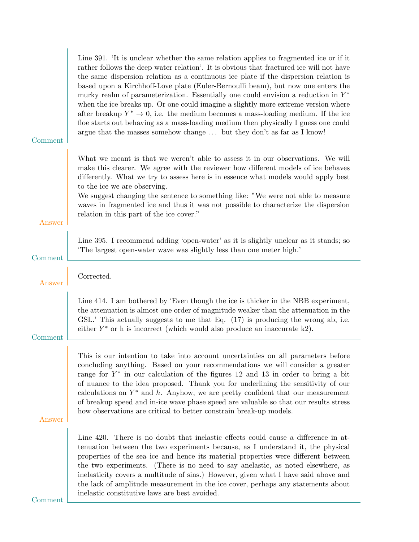| Comment | Line 391. The is unclear whether the same relation applies to fragmented ice or if it<br>rather follows the deep water relation'. It is obvious that fractured ice will not have<br>the same dispersion relation as a continuous ice plate if the dispersion relation is<br>based upon a Kirchhoff-Love plate (Euler-Bernoulli beam), but now one enters the<br>murky realm of parameterization. Essentially one could envision a reduction in $Y^*$<br>when the ice breaks up. Or one could imagine a slightly more extreme version where<br>after breakup $Y^* \to 0$ , i.e. the medium becomes a mass-loading medium. If the ice<br>floe starts out behaving as a mass-loading medium then physically I guess one could<br>argue that the masses somehow change  but they don't as far as I know! |
|---------|------------------------------------------------------------------------------------------------------------------------------------------------------------------------------------------------------------------------------------------------------------------------------------------------------------------------------------------------------------------------------------------------------------------------------------------------------------------------------------------------------------------------------------------------------------------------------------------------------------------------------------------------------------------------------------------------------------------------------------------------------------------------------------------------------|
| Answer  | What we meant is that we weren't able to assess it in our observations. We will<br>make this clearer. We agree with the reviewer how different models of ice behaves<br>differently. What we try to assess here is in essence what models would apply best<br>to the ice we are observing.<br>We suggest changing the sentence to something like: "We were not able to measure<br>waves in fragmented ice and thus it was not possible to characterize the dispersion<br>relation in this part of the ice cover."                                                                                                                                                                                                                                                                                    |
| Comment | Line 395. I recommend adding 'open-water' as it is slightly unclear as it stands; so<br>The largest open-water wave was slightly less than one meter high.'                                                                                                                                                                                                                                                                                                                                                                                                                                                                                                                                                                                                                                          |
| Answer  | Corrected.                                                                                                                                                                                                                                                                                                                                                                                                                                                                                                                                                                                                                                                                                                                                                                                           |
| Comment | Line 414. I am bothered by 'Even though the ice is thicker in the NBB experiment,<br>the attenuation is almost one order of magnitude weaker than the attenuation in the<br>GSL.' This actually suggests to me that Eq. (17) is producing the wrong ab, i.e.<br>either $Y^*$ or h is incorrect (which would also produce an inaccurate k2).                                                                                                                                                                                                                                                                                                                                                                                                                                                          |
| Answer  | This is our intention to take into account uncertainties on all parameters before<br>concluding anything. Based on your recommendations we will consider a greater<br>range for $Y^*$ in our calculation of the figures 12 and 13 in order to bring a bit<br>of nuance to the idea proposed. Thank you for underlining the sensitivity of our<br>calculations on $Y^*$ and h. Anyhow, we are pretty confident that our measurement<br>of breakup speed and in-ice wave phase speed are valuable so that our results stress<br>how observations are critical to better constrain break-up models.                                                                                                                                                                                                     |
| Comment | Line 420. There is no doubt that inelastic effects could cause a difference in at-<br>tenuation between the two experiments because, as I understand it, the physical<br>properties of the sea ice and hence its material properties were different between<br>the two experiments. (There is no need to say anelastic, as noted elsewhere, as<br>inelasticity covers a multitude of sins.) However, given what I have said above and<br>the lack of amplitude measurement in the ice cover, perhaps any statements about<br>inelastic constitutive laws are best avoided.                                                                                                                                                                                                                           |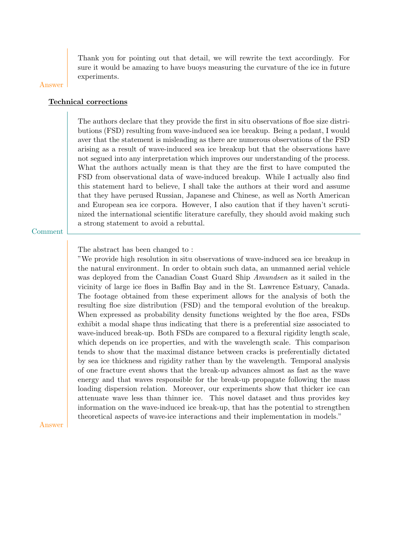Thank you for pointing out that detail, we will rewrite the text accordingly. For sure it would be amazing to have buoys measuring the curvature of the ice in future experiments.

### Answer

## Technical corrections

The authors declare that they provide the first in situ observations of floe size distributions (FSD) resulting from wave-induced sea ice breakup. Being a pedant, I would aver that the statement is misleading as there are numerous observations of the FSD arising as a result of wave-induced sea ice breakup but that the observations have not segued into any interpretation which improves our understanding of the process. What the authors actually mean is that they are the first to have computed the FSD from observational data of wave-induced breakup. While I actually also find this statement hard to believe, I shall take the authors at their word and assume that they have perused Russian, Japanese and Chinese, as well as North American and European sea ice corpora. However, I also caution that if they haven't scrutinized the international scientific literature carefully, they should avoid making such a strong statement to avoid a rebuttal.

Comment

The abstract has been changed to :

"We provide high resolution in situ observations of wave-induced sea ice breakup in the natural environment. In order to obtain such data, an unmanned aerial vehicle was deployed from the Canadian Coast Guard Ship Amundsen as it sailed in the vicinity of large ice floes in Baffin Bay and in the St. Lawrence Estuary, Canada. The footage obtained from these experiment allows for the analysis of both the resulting floe size distribution (FSD) and the temporal evolution of the breakup. When expressed as probability density functions weighted by the floe area, FSDs exhibit a modal shape thus indicating that there is a preferential size associated to wave-induced break-up. Both FSDs are compared to a flexural rigidity length scale, which depends on ice properties, and with the wavelength scale. This comparison tends to show that the maximal distance between cracks is preferentially dictated by sea ice thickness and rigidity rather than by the wavelength. Temporal analysis of one fracture event shows that the break-up advances almost as fast as the wave energy and that waves responsible for the break-up propagate following the mass loading dispersion relation. Moreover, our experiments show that thicker ice can attenuate wave less than thinner ice. This novel dataset and thus provides key information on the wave-induced ice break-up, that has the potential to strengthen theoretical aspects of wave-ice interactions and their implementation in models."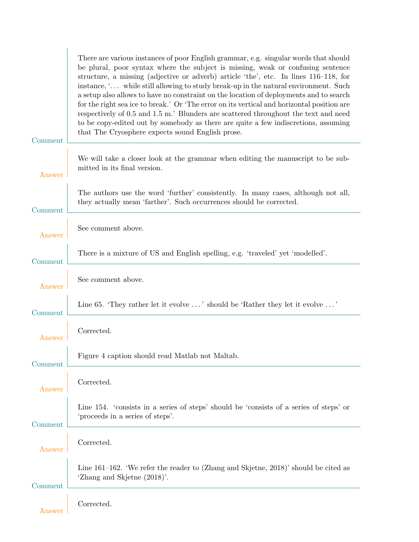|         | There are various instances of poor English grammar, e.g. singular words that should<br>be plural, poor syntax where the subject is missing, weak or confusing sentence<br>structure, a missing (adjective or adverb) article 'the', etc. In lines 116-118, for<br>instance, ' while still allowing to study break-up in the natural environment. Such<br>a setup also allows to have no constraint on the location of deployments and to search |
|---------|--------------------------------------------------------------------------------------------------------------------------------------------------------------------------------------------------------------------------------------------------------------------------------------------------------------------------------------------------------------------------------------------------------------------------------------------------|
| Comment | for the right sea ice to break.' Or 'The error on its vertical and horizontal position are<br>respectively of 0.5 and 1.5 m.' Blunders are scattered throughout the text and need<br>to be copy-edited out by somebody as there are quite a few indiscretions, assuming<br>that The Cryosphere expects sound English prose.                                                                                                                      |
| Answer  | We will take a closer look at the grammar when editing the manuscript to be sub-<br>mitted in its final version.                                                                                                                                                                                                                                                                                                                                 |
| Comment | The authors use the word 'further' consistently. In many cases, although not all,<br>they actually mean 'farther'. Such occurrences should be corrected.                                                                                                                                                                                                                                                                                         |
| Answer  | See comment above.                                                                                                                                                                                                                                                                                                                                                                                                                               |
| Comment | There is a mixture of US and English spelling, e.g. 'traveled' yet 'modelled'.                                                                                                                                                                                                                                                                                                                                                                   |
| Answer  | See comment above.                                                                                                                                                                                                                                                                                                                                                                                                                               |
| Comment | Line 65. 'They rather let it evolve ' should be 'Rather they let it evolve '                                                                                                                                                                                                                                                                                                                                                                     |
| Answer  | Corrected.                                                                                                                                                                                                                                                                                                                                                                                                                                       |
| Comment | Figure 4 caption should read Matlab not Maltab.                                                                                                                                                                                                                                                                                                                                                                                                  |
| Answer  | Corrected.                                                                                                                                                                                                                                                                                                                                                                                                                                       |
| Comment | Line 154. 'consists in a series of steps' should be 'consists of a series of steps' or<br>'proceeds in a series of steps'.                                                                                                                                                                                                                                                                                                                       |
| Answer  | Corrected.                                                                                                                                                                                                                                                                                                                                                                                                                                       |
| Comment | Line 161–162. 'We refer the reader to (Zhang and Skjetne, $2018$ )' should be cited as<br>'Zhang and Skjetne (2018)'.                                                                                                                                                                                                                                                                                                                            |
| Answer  | Corrected.                                                                                                                                                                                                                                                                                                                                                                                                                                       |